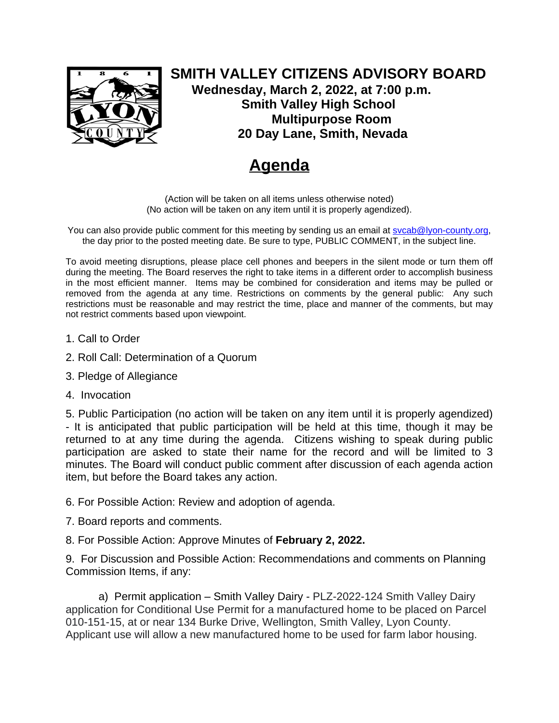

**SMITH VALLEY CITIZENS ADVISORY BOARD Wednesday, March 2, 2022, at 7:00 p.m. Smith Valley High School Multipurpose Room 20 Day Lane, Smith, Nevada**

## **Agenda**

(Action will be taken on all items unless otherwise noted) (No action will be taken on any item until it is properly agendized).

You can also provide public comment for this meeting by sending us an email at [svcab@lyon-county.org](about:blank), the day prior to the posted meeting date. Be sure to type, PUBLIC COMMENT, in the subject line.

To avoid meeting disruptions, please place cell phones and beepers in the silent mode or turn them off during the meeting. The Board reserves the right to take items in a different order to accomplish business in the most efficient manner. Items may be combined for consideration and items may be pulled or removed from the agenda at any time. Restrictions on comments by the general public: Any such restrictions must be reasonable and may restrict the time, place and manner of the comments, but may not restrict comments based upon viewpoint.

- 1. Call to Order
- 2. Roll Call: Determination of a Quorum
- 3. Pledge of Allegiance
- 4. Invocation

5. Public Participation (no action will be taken on any item until it is properly agendized) - It is anticipated that public participation will be held at this time, though it may be returned to at any time during the agenda. Citizens wishing to speak during public participation are asked to state their name for the record and will be limited to 3 minutes. The Board will conduct public comment after discussion of each agenda action item, but before the Board takes any action.

- 6. For Possible Action: Review and adoption of agenda.
- 7. Board reports and comments.
- 8. For Possible Action: Approve Minutes of **February 2, 2022.**

9. For Discussion and Possible Action: Recommendations and comments on Planning Commission Items, if any:

a) Permit application – Smith Valley Dairy - PLZ-2022-124 Smith Valley Dairy application for Conditional Use Permit for a manufactured home to be placed on Parcel 010-151-15, at or near 134 Burke Drive, Wellington, Smith Valley, Lyon County. Applicant use will allow a new manufactured home to be used for farm labor housing.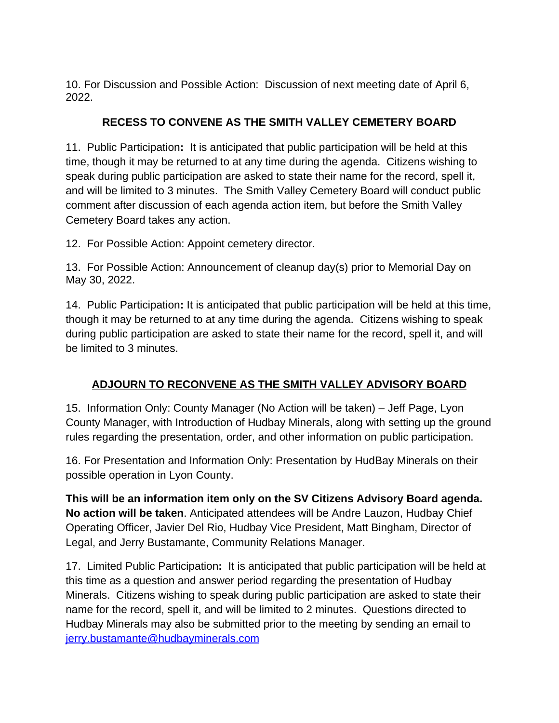10. For Discussion and Possible Action: Discussion of next meeting date of April 6, 2022.

## **RECESS TO CONVENE AS THE SMITH VALLEY CEMETERY BOARD**

11. Public Participation**:** It is anticipated that public participation will be held at this time, though it may be returned to at any time during the agenda. Citizens wishing to speak during public participation are asked to state their name for the record, spell it, and will be limited to 3 minutes. The Smith Valley Cemetery Board will conduct public comment after discussion of each agenda action item, but before the Smith Valley Cemetery Board takes any action.

12. For Possible Action: Appoint cemetery director.

13. For Possible Action: Announcement of cleanup day(s) prior to Memorial Day on May 30, 2022.

14. Public Participation**:** It is anticipated that public participation will be held at this time, though it may be returned to at any time during the agenda. Citizens wishing to speak during public participation are asked to state their name for the record, spell it, and will be limited to 3 minutes.

## **ADJOURN TO RECONVENE AS THE SMITH VALLEY ADVISORY BOARD**

15. Information Only: County Manager (No Action will be taken) – Jeff Page, Lyon County Manager, with Introduction of Hudbay Minerals, along with setting up the ground rules regarding the presentation, order, and other information on public participation.

16. For Presentation and Information Only: Presentation by HudBay Minerals on their possible operation in Lyon County.

**This will be an information item only on the SV Citizens Advisory Board agenda. No action will be taken**. Anticipated attendees will be Andre Lauzon, Hudbay Chief Operating Officer, Javier Del Rio, Hudbay Vice President, Matt Bingham, Director of Legal, and Jerry Bustamante, Community Relations Manager.

17. Limited Public Participation**:** It is anticipated that public participation will be held at this time as a question and answer period regarding the presentation of Hudbay Minerals. Citizens wishing to speak during public participation are asked to state their name for the record, spell it, and will be limited to 2 minutes. Questions directed to Hudbay Minerals may also be submitted prior to the meeting by sending an email to [jerry.bustamante@hudbayminerals.com](mailto:jerry.bustamante@hudbayminerals.com)